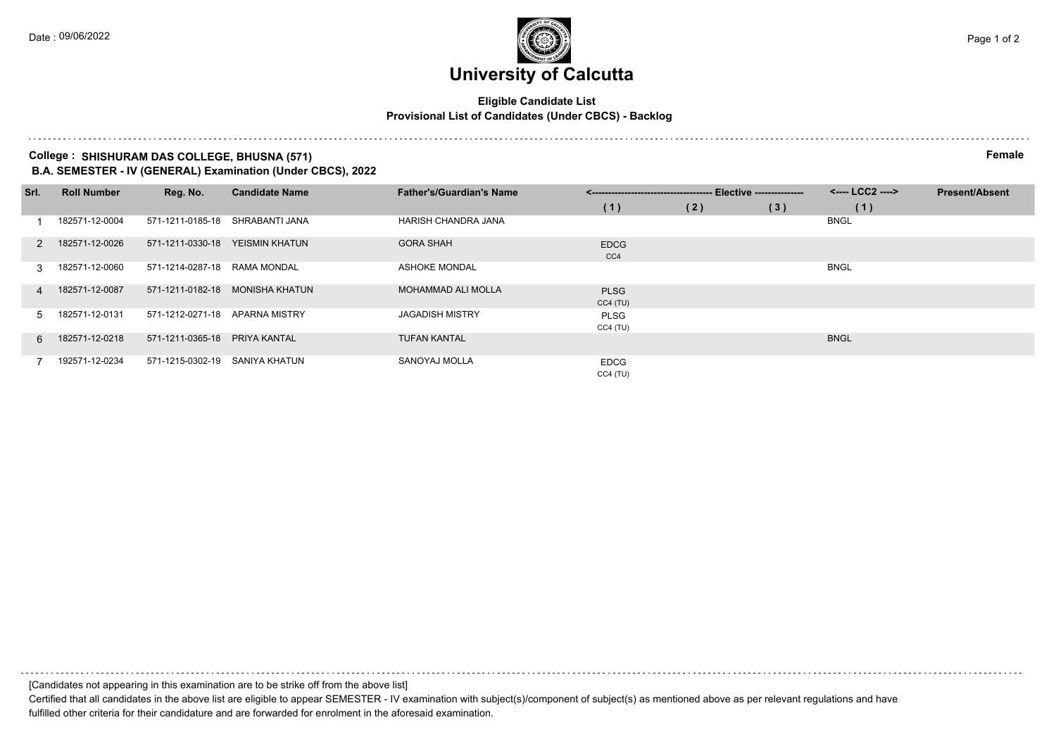# **University of Calcutta**

## **Eligible Candidate List Provisional List of Candidates (Under CBCS) - Backlog**

### **College : SHISHURAM DAS COLLEGE, BHUSNA (571) Female B.A. SEMESTER - IV (GENERAL) Examination (Under CBCS), 2022**

| Srl.          | <b>Roll Number</b> | Reg. No.         | <b>Candidate Name</b> | <b>Father's/Guardian's Name</b> | -- Elective ---------------<br><------------------------------------- |     |     | <---- LCC2 ----> | <b>Present/Absent</b> |
|---------------|--------------------|------------------|-----------------------|---------------------------------|-----------------------------------------------------------------------|-----|-----|------------------|-----------------------|
|               |                    |                  |                       |                                 | (1)                                                                   | (2) | (3) | (1)              |                       |
|               | 182571-12-0004     | 571-1211-0185-18 | SHRABANTI JANA        | HARISH CHANDRA JANA             |                                                                       |     |     | <b>BNGL</b>      |                       |
| $\mathcal{P}$ | 182571-12-0026     | 571-1211-0330-18 | YEISMIN KHATUN        | <b>GORA SHAH</b>                | <b>EDCG</b><br>CC4                                                    |     |     |                  |                       |
| $\mathcal{R}$ | 182571-12-0060     | 571-1214-0287-18 | RAMA MONDAL           | <b>ASHOKE MONDAL</b>            |                                                                       |     |     | <b>BNGL</b>      |                       |
| $\mathbf{A}$  | 182571-12-0087     | 571-1211-0182-18 | MONISHA KHATUN        | <b>MOHAMMAD ALI MOLLA</b>       | <b>PLSG</b><br>CC4(TU)                                                |     |     |                  |                       |
| 5.            | 182571-12-0131     | 571-1212-0271-18 | APARNA MISTRY         | <b>JAGADISH MISTRY</b>          | <b>PLSG</b><br>CC4(TU)                                                |     |     |                  |                       |
| <u>ი </u>     | 182571-12-0218     | 571-1211-0365-18 | <b>PRIYA KANTAL</b>   | <b>TUFAN KANTAL</b>             |                                                                       |     |     | <b>BNGL</b>      |                       |
|               | 192571-12-0234     | 571-1215-0302-19 | SANIYA KHATUN         | SANOYAJ MOLLA                   | <b>EDCG</b><br>CC4(TU)                                                |     |     |                  |                       |

[Candidates not appearing in this examination are to be strike off from the above list]

Certified that all candidates in the above list are eligible to appear SEMESTER - IV examination with subject(s)/component of subject(s) as mentioned above as per relevant regulations and have fulfilled other criteria for their candidature and are forwarded for enrolment in the aforesaid examination.